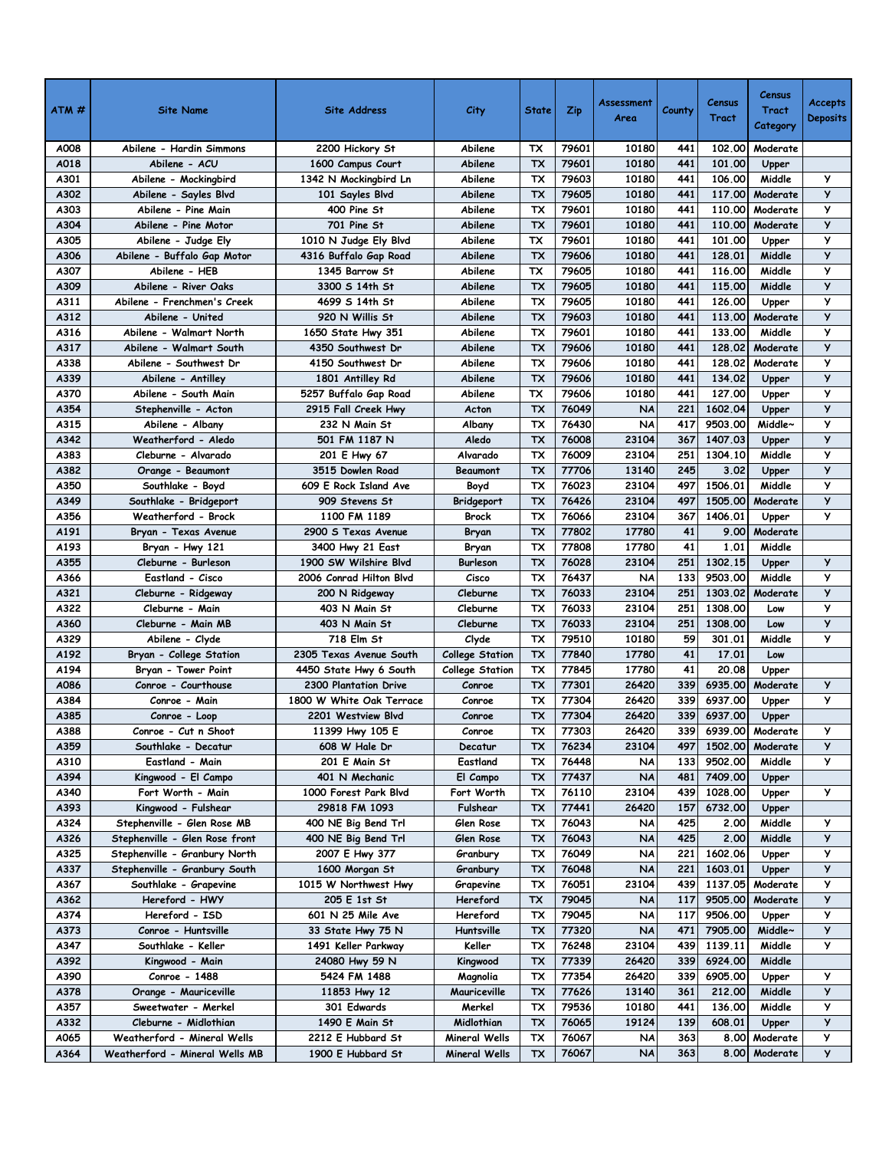| A018<br>Abilene<br><b>TX</b><br>79601<br>10180<br>441<br>101.00<br>Abilene - ACU<br>1600 Campus Court<br>Upper<br>79603<br>10180<br>106.00<br>У<br>A301<br>Abilene - Mockingbird<br>Abilene<br>тх<br>441<br>Middle<br>1342 N Mockingbird Ln<br>79605<br>10180<br>441<br>117,00<br>y<br>A302<br>TX<br>Moderate<br>Abilene - Sayles Blvd<br>Abilene<br>101 Sayles Blvd<br>110.00<br>A303<br>Abilene - Pine Main<br>79601<br>10180<br>441<br>Moderate<br>У<br>400 Pine St<br>Abilene<br>тх<br>y<br><b>TX</b><br>A304<br>79601<br>10180<br>441<br>110.00<br>Moderate<br>Abilene - Pine Motor<br>701 Pine St<br>Abilene<br>y<br>A305<br>Abilene<br>TX<br>79601<br>10180<br>441<br>101.00<br>Abilene - Judge Ely<br>1010 N Judge Ely Blvd<br>Upper<br>y<br>A306<br>Abilene - Buffalo Gap Motor<br><b>TX</b><br>79606<br>10180<br>441<br>128.01<br>Middle<br>4316 Buffalo Gap Road<br>Abilene<br>y<br>A307<br>Abilene - HEB<br>Abilene<br>TX<br>79605<br>10180<br>441<br>116.00<br>Middle<br>1345 Barrow St<br>$\mathsf{y}$<br>79605<br>10180<br>441<br>115.00<br>Middle<br>A309<br><b>TX</b><br>Abilene - River Oaks<br>3300 S 14th St<br>Abilene<br>10180<br>У<br>A311<br>Abilene<br>TX<br>79605<br>441<br>126.00<br>Abilene - Frenchmen's Creek<br>4699 S 14th St<br>Upper<br>y<br>A312<br>Abilene - United<br>920 N Willis St<br><b>TX</b><br>79603<br>10180<br>441<br>113.00<br>Abilene<br>Moderate<br>У<br>A316<br>Abilene - Walmart North<br>TX<br>79601<br>10180<br>441<br>133.00<br>Middle<br>1650 State Hwy 351<br>Abilene<br>У<br>A317<br>Abilene - Walmart South<br><b>TX</b><br>79606<br>10180<br>441<br>128.02<br>Abilene<br>Moderate<br>4350 Southwest Dr<br>79606<br>10180<br>441<br>128.02<br>Moderate<br>y<br>A338<br>Abilene<br>Abilene - Southwest Dr<br>4150 Southwest Dr<br>тх<br>y<br>79606<br>10180<br>441<br>134.02<br>A339<br>TX<br>Abilene<br>Upper<br>Abilene - Antilley<br>1801 Antilley Rd<br>y<br>A370<br>Abilene - South Main<br>TX<br>79606<br>10180<br>441<br>127,00<br>5257 Buffalo Gap Road<br>Abilene<br>Upper<br>У<br><b>TX</b><br>76049<br>221<br>A354<br><b>NA</b><br>1602.04<br>Stephenville - Acton<br>2915 Fall Creek Hwy<br>Upper<br>Acton<br>y<br>A315<br>ТX<br>76430<br><b>NA</b><br>417<br>9503.00<br>Middle~<br>Abilene - Albany<br>232 N Main St<br>Albany<br>У<br>76008<br>23104<br>A342<br>TX<br>1407.03<br>Weatherford - Aledo<br>501 FM 1187 N<br>Aledo<br>367<br>Upper<br>76009<br>23104<br>251<br>1304.10<br>Middle<br>y<br>A383<br>Cleburne - Alvarado<br>201 E Hwy 67<br>Alvarado<br>TX<br>$\mathsf{y}$<br>77706<br>13140<br>245<br>3.02<br>A382<br>TX<br>Upper<br>Orange - Beaumont<br>3515 Dowlen Road<br>Beaumont<br>y<br>A350<br>609 E Rock Island Ave<br>TX<br>76023<br>23104<br>1506.01<br>Southlake - Boyd<br>497<br>Middle<br>Boyd<br>У<br>76426<br>23104<br>1505.00<br>A349<br>Southlake - Bridgeport<br>909 Stevens St<br>ТX<br>497<br>Moderate<br>Bridgeport<br>У<br>A356<br>Weatherford - Brock<br>ТX<br>76066<br>23104<br>1406.01<br>1100 FM 1189<br><b>Brock</b><br>367<br>Upper<br>77802<br>17780<br>9.00<br>Moderate<br>A191<br>Bryan - Texas Avenue<br>2900 S Texas Avenue<br>тх<br>41<br>Bryan<br>17780<br>41<br>1.01<br>77808<br>Middle<br>A193<br>ТX<br>Bryan - Hwy 121<br>3400 Hwy 21 East<br>Bryan<br>76028<br>23104<br>1302.15<br>A355<br>Cleburne - Burleson<br>1900 SW Wilshire Blvd<br>Burleson<br>251<br>У<br>ТX<br>Upper<br>y<br>A366<br>Eastland - Cisco<br>2006 Conrad Hilton Blvd<br>TX<br>76437<br><b>NA</b><br>133<br>9503.00<br>Middle<br>Cisco<br>y<br>A321<br>76033<br>23104<br>251<br>1303.02<br>Cleburne - Ridgeway<br>200 N Ridgeway<br>Cleburne<br>тх<br>Moderate<br>y<br><b>TX</b><br>A322<br>Cleburne<br>76033<br>23104<br>251<br>1308.00<br>Cleburne - Main<br>403 N Main St<br>Low<br>y<br>76033<br>23104<br>251<br>1308.00<br>A360<br>Cleburne - Main MB<br>403 N Main St<br>Cleburne<br>ТX<br>Low<br>y<br><b>TX</b><br>79510<br>10180<br>59<br>301.01<br>Middle<br>A329<br>Abilene - Clyde<br>718 Elm St<br>Clyde<br>41<br>A192<br><b>TX</b><br>77840<br>17780<br>17.01<br>Bryan - College Station<br>2305 Texas Avenue South<br><b>College Station</b><br>Low<br>41<br>A194<br>ТX<br>77845<br>17780<br>20.08<br>Bryan - Tower Point<br>4450 State Hwy 6 South<br><b>College Station</b><br>Upper<br>77301<br>26420<br>У<br>A086<br>Conroe - Courthouse<br><b>TX</b><br>339<br>6935.00<br>Moderate<br>2300 Plantation Drive<br>Conroe<br>У<br>A384<br>TX<br>77304<br>26420<br>339<br>6937.00<br>Conroe - Main<br>1800 W White Oak Terrace<br>Conroe<br>Upper<br>26420<br><b>TX</b><br>77304<br>339<br>6937.00<br>A385<br>2201 Westview Blvd<br>Conroe<br>Conroe - Loop<br>Upper<br>339<br>A388<br>Conroe - Cut n Shoot<br>11399 Hwy 105 E<br>Conroe<br>тх<br>77303<br>26420<br>6939.00<br>Moderate<br>У<br>76234<br>23104<br>y<br>A359<br>TX<br>1502.00<br>608 W Hale Dr<br>497<br>Moderate<br>Southlake - Decatur<br>Decatur<br>У<br>A310<br>Eastland - Main<br>201 E Main St<br>Eastland<br>76448<br>9502.00<br>Middle<br>тх<br>NA<br>133<br>A394<br>77437<br>7409.00<br>Kingwood - El Campo<br>401 N Mechanic<br>El Campo<br>ТX<br><b>NA</b><br>481<br>Upper<br>76110<br>23104<br>у<br>A340<br>Fort Worth - Main<br>1000 Forest Park Blvd<br>Fort Worth<br>439<br>1028.00<br>тх<br>Upper<br>77441<br>26420<br>6732.00<br>Fulshear<br>157<br>A393<br>Kingwood - Fulshear<br>29818 FM 1093<br>ТX<br>Upper<br>76043<br>Middle<br>Stephenville - Glen Rose MB<br>NA<br>425<br>2.00<br>у<br>A324<br>400 NE Big Bend Trl<br>Glen Rose<br>тх<br>y<br>76043<br>425<br>2.00<br>Middle<br>A326<br>Stephenville - Glen Rose front<br>400 NE Big Bend Trl<br>Glen Rose<br>ТX<br><b>NA</b><br>у<br>A325<br>Stephenville - Granbury North<br>2007 E Hwy 377<br>Granbury<br>тх<br>76049<br>NA<br>221<br>1602.06<br>Upper<br>У<br>76048<br><b>NA</b><br>1603.01<br>A337<br>Stephenville - Granbury South<br>1600 Morgan St<br>Granbury<br>ТX<br>221<br>Upper<br>23104<br>у<br>A367<br>1015 W Northwest Hwy<br>тх<br>76051<br>1137.05<br>Moderate<br>Southlake - Grapevine<br>Grapevine<br>439<br>y<br>205 E 1st St<br>9505.00<br>A362<br>Hereford - HWY<br>Hereford<br>тх<br>79045<br>117<br>Moderate<br>NA<br>79045<br>9506.00<br>у<br>A374<br>Hereford - ISD<br>601 N 25 Mile Ave<br>Hereford<br>NA<br>117<br>Upper<br>тх<br>y<br>77320<br><b>NA</b><br>7905.00<br>A373<br>Conroe - Huntsville<br>33 State Hwy 75 N<br>Huntsville<br>ТX<br>471<br>Middle~<br>У<br>Keller<br>76248<br>23104<br>1139.11<br>Middle<br>A347<br>Southlake - Keller<br>1491 Keller Parkway<br>тх<br>439<br>A392<br>TX<br>77339<br>26420<br>6924.00<br>Middle<br>Kingwood - Main<br>24080 Hwy 59 N<br>Kingwood<br>339<br>A390<br>6905.00<br>у<br>Conroe - 1488<br>5424 FM 1488<br>Magnolia<br>тх<br>77354<br>26420<br>339<br>Upper<br>77626<br>13140<br>У<br>361<br>212.00<br>Middle<br>A378<br>Orange - Mauriceville<br>11853 Hwy 12<br>Mauriceville<br>ТX<br>79536<br>10180<br>Middle<br>У<br>A357<br>301 Edwards<br>Merkel<br>441<br>136.00<br>Sweetwater - Merkel<br>тх<br>y<br>A332<br>Cleburne - Midlothian<br>76065<br>19124<br>608.01<br>1490 E Main St<br>Midlothian<br>ТX<br>139<br>Upper<br>у<br>A065<br>Weatherford - Mineral Wells<br>2212 E Hubbard St<br>Mineral Wells<br>тх<br>76067<br>NA<br>363<br>8.00<br>Moderate<br>76067<br>363<br>У<br>A364<br><b>NA</b><br>8.00 Moderate<br>Weatherford - Mineral Wells MB<br>1900 E Hubbard St<br><b>Mineral Wells</b><br>тх | $ATM \#$ | <b>Site Name</b>         | <b>Site Address</b> | City    | <b>State</b> | Zip   | Assessment<br>Area | County | Census<br>Tract | Census<br><b>Tract</b><br>Category | <b>Accepts</b><br><b>Deposits</b> |
|-----------------------------------------------------------------------------------------------------------------------------------------------------------------------------------------------------------------------------------------------------------------------------------------------------------------------------------------------------------------------------------------------------------------------------------------------------------------------------------------------------------------------------------------------------------------------------------------------------------------------------------------------------------------------------------------------------------------------------------------------------------------------------------------------------------------------------------------------------------------------------------------------------------------------------------------------------------------------------------------------------------------------------------------------------------------------------------------------------------------------------------------------------------------------------------------------------------------------------------------------------------------------------------------------------------------------------------------------------------------------------------------------------------------------------------------------------------------------------------------------------------------------------------------------------------------------------------------------------------------------------------------------------------------------------------------------------------------------------------------------------------------------------------------------------------------------------------------------------------------------------------------------------------------------------------------------------------------------------------------------------------------------------------------------------------------------------------------------------------------------------------------------------------------------------------------------------------------------------------------------------------------------------------------------------------------------------------------------------------------------------------------------------------------------------------------------------------------------------------------------------------------------------------------------------------------------------------------------------------------------------------------------------------------------------------------------------------------------------------------------------------------------------------------------------------------------------------------------------------------------------------------------------------------------------------------------------------------------------------------------------------------------------------------------------------------------------------------------------------------------------------------------------------------------------------------------------------------------------------------------------------------------------------------------------------------------------------------------------------------------------------------------------------------------------------------------------------------------------------------------------------------------------------------------------------------------------------------------------------------------------------------------------------------------------------------------------------------------------------------------------------------------------------------------------------------------------------------------------------------------------------------------------------------------------------------------------------------------------------------------------------------------------------------------------------------------------------------------------------------------------------------------------------------------------------------------------------------------------------------------------------------------------------------------------------------------------------------------------------------------------------------------------------------------------------------------------------------------------------------------------------------------------------------------------------------------------------------------------------------------------------------------------------------------------------------------------------------------------------------------------------------------------------------------------------------------------------------------------------------------------------------------------------------------------------------------------------------------------------------------------------------------------------------------------------------------------------------------------------------------------------------------------------------------------------------------------------------------------------------------------------------------------------------------------------------------------------------------------------------------------------------------------------------------------------------------------------------------------------------------------------------------------------------------------------------------------------------------------------------------------------------------------------------------------------------------------------------------------------------------------------------------------------------------------------------------------------------------------------------------------------------------------------------------------------------------------------------------------------------------------------------------------------------------------------------------------------------------------------------------------------------------------------------------------------------------------------------------------------------------------------------------------------------------------------------------------------------------------------------------------------------------------------------------------------------------------------------------------------------------------------------------------------------------------------------------------------------------------------------------------------------------------------------------------------------------------------------------------------------------------------------------------------------------------------------------------------------------------------------------------------------------------------------------------------------------------------------------------------------------------------------------------------------------------------------------------------------------------------------------------------------------------------------------------------------------------------------------------------------------------------------------------------------------------------------------------------------------------------------------------------------------------------------------------------------------------|----------|--------------------------|---------------------|---------|--------------|-------|--------------------|--------|-----------------|------------------------------------|-----------------------------------|
|                                                                                                                                                                                                                                                                                                                                                                                                                                                                                                                                                                                                                                                                                                                                                                                                                                                                                                                                                                                                                                                                                                                                                                                                                                                                                                                                                                                                                                                                                                                                                                                                                                                                                                                                                                                                                                                                                                                                                                                                                                                                                                                                                                                                                                                                                                                                                                                                                                                                                                                                                                                                                                                                                                                                                                                                                                                                                                                                                                                                                                                                                                                                                                                                                                                                                                                                                                                                                                                                                                                                                                                                                                                                                                                                                                                                                                                                                                                                                                                                                                                                                                                                                                                                                                                                                                                                                                                                                                                                                                                                                                                                                                                                                                                                                                                                                                                                                                                                                                                                                                                                                                                                                                                                                                                                                                                                                                                                                                                                                                                                                                                                                                                                                                                                                                                                                                                                                                                                                                                                                                                                                                                                                                                                                                                                                                                                                                                                                                                                                                                                                                                                                                                                                                                                                                                                                                                                                                                                                                                                                                                                                                                                                                                                                                                                                                                                                                                                                                                     | A008     | Abilene - Hardin Simmons | 2200 Hickory St     | Abilene | тх           | 79601 | 10180              | 441    | 102.00          | Moderate                           |                                   |
|                                                                                                                                                                                                                                                                                                                                                                                                                                                                                                                                                                                                                                                                                                                                                                                                                                                                                                                                                                                                                                                                                                                                                                                                                                                                                                                                                                                                                                                                                                                                                                                                                                                                                                                                                                                                                                                                                                                                                                                                                                                                                                                                                                                                                                                                                                                                                                                                                                                                                                                                                                                                                                                                                                                                                                                                                                                                                                                                                                                                                                                                                                                                                                                                                                                                                                                                                                                                                                                                                                                                                                                                                                                                                                                                                                                                                                                                                                                                                                                                                                                                                                                                                                                                                                                                                                                                                                                                                                                                                                                                                                                                                                                                                                                                                                                                                                                                                                                                                                                                                                                                                                                                                                                                                                                                                                                                                                                                                                                                                                                                                                                                                                                                                                                                                                                                                                                                                                                                                                                                                                                                                                                                                                                                                                                                                                                                                                                                                                                                                                                                                                                                                                                                                                                                                                                                                                                                                                                                                                                                                                                                                                                                                                                                                                                                                                                                                                                                                                                     |          |                          |                     |         |              |       |                    |        |                 |                                    |                                   |
|                                                                                                                                                                                                                                                                                                                                                                                                                                                                                                                                                                                                                                                                                                                                                                                                                                                                                                                                                                                                                                                                                                                                                                                                                                                                                                                                                                                                                                                                                                                                                                                                                                                                                                                                                                                                                                                                                                                                                                                                                                                                                                                                                                                                                                                                                                                                                                                                                                                                                                                                                                                                                                                                                                                                                                                                                                                                                                                                                                                                                                                                                                                                                                                                                                                                                                                                                                                                                                                                                                                                                                                                                                                                                                                                                                                                                                                                                                                                                                                                                                                                                                                                                                                                                                                                                                                                                                                                                                                                                                                                                                                                                                                                                                                                                                                                                                                                                                                                                                                                                                                                                                                                                                                                                                                                                                                                                                                                                                                                                                                                                                                                                                                                                                                                                                                                                                                                                                                                                                                                                                                                                                                                                                                                                                                                                                                                                                                                                                                                                                                                                                                                                                                                                                                                                                                                                                                                                                                                                                                                                                                                                                                                                                                                                                                                                                                                                                                                                                                     |          |                          |                     |         |              |       |                    |        |                 |                                    |                                   |
|                                                                                                                                                                                                                                                                                                                                                                                                                                                                                                                                                                                                                                                                                                                                                                                                                                                                                                                                                                                                                                                                                                                                                                                                                                                                                                                                                                                                                                                                                                                                                                                                                                                                                                                                                                                                                                                                                                                                                                                                                                                                                                                                                                                                                                                                                                                                                                                                                                                                                                                                                                                                                                                                                                                                                                                                                                                                                                                                                                                                                                                                                                                                                                                                                                                                                                                                                                                                                                                                                                                                                                                                                                                                                                                                                                                                                                                                                                                                                                                                                                                                                                                                                                                                                                                                                                                                                                                                                                                                                                                                                                                                                                                                                                                                                                                                                                                                                                                                                                                                                                                                                                                                                                                                                                                                                                                                                                                                                                                                                                                                                                                                                                                                                                                                                                                                                                                                                                                                                                                                                                                                                                                                                                                                                                                                                                                                                                                                                                                                                                                                                                                                                                                                                                                                                                                                                                                                                                                                                                                                                                                                                                                                                                                                                                                                                                                                                                                                                                                     |          |                          |                     |         |              |       |                    |        |                 |                                    |                                   |
|                                                                                                                                                                                                                                                                                                                                                                                                                                                                                                                                                                                                                                                                                                                                                                                                                                                                                                                                                                                                                                                                                                                                                                                                                                                                                                                                                                                                                                                                                                                                                                                                                                                                                                                                                                                                                                                                                                                                                                                                                                                                                                                                                                                                                                                                                                                                                                                                                                                                                                                                                                                                                                                                                                                                                                                                                                                                                                                                                                                                                                                                                                                                                                                                                                                                                                                                                                                                                                                                                                                                                                                                                                                                                                                                                                                                                                                                                                                                                                                                                                                                                                                                                                                                                                                                                                                                                                                                                                                                                                                                                                                                                                                                                                                                                                                                                                                                                                                                                                                                                                                                                                                                                                                                                                                                                                                                                                                                                                                                                                                                                                                                                                                                                                                                                                                                                                                                                                                                                                                                                                                                                                                                                                                                                                                                                                                                                                                                                                                                                                                                                                                                                                                                                                                                                                                                                                                                                                                                                                                                                                                                                                                                                                                                                                                                                                                                                                                                                                                     |          |                          |                     |         |              |       |                    |        |                 |                                    |                                   |
|                                                                                                                                                                                                                                                                                                                                                                                                                                                                                                                                                                                                                                                                                                                                                                                                                                                                                                                                                                                                                                                                                                                                                                                                                                                                                                                                                                                                                                                                                                                                                                                                                                                                                                                                                                                                                                                                                                                                                                                                                                                                                                                                                                                                                                                                                                                                                                                                                                                                                                                                                                                                                                                                                                                                                                                                                                                                                                                                                                                                                                                                                                                                                                                                                                                                                                                                                                                                                                                                                                                                                                                                                                                                                                                                                                                                                                                                                                                                                                                                                                                                                                                                                                                                                                                                                                                                                                                                                                                                                                                                                                                                                                                                                                                                                                                                                                                                                                                                                                                                                                                                                                                                                                                                                                                                                                                                                                                                                                                                                                                                                                                                                                                                                                                                                                                                                                                                                                                                                                                                                                                                                                                                                                                                                                                                                                                                                                                                                                                                                                                                                                                                                                                                                                                                                                                                                                                                                                                                                                                                                                                                                                                                                                                                                                                                                                                                                                                                                                                     |          |                          |                     |         |              |       |                    |        |                 |                                    |                                   |
|                                                                                                                                                                                                                                                                                                                                                                                                                                                                                                                                                                                                                                                                                                                                                                                                                                                                                                                                                                                                                                                                                                                                                                                                                                                                                                                                                                                                                                                                                                                                                                                                                                                                                                                                                                                                                                                                                                                                                                                                                                                                                                                                                                                                                                                                                                                                                                                                                                                                                                                                                                                                                                                                                                                                                                                                                                                                                                                                                                                                                                                                                                                                                                                                                                                                                                                                                                                                                                                                                                                                                                                                                                                                                                                                                                                                                                                                                                                                                                                                                                                                                                                                                                                                                                                                                                                                                                                                                                                                                                                                                                                                                                                                                                                                                                                                                                                                                                                                                                                                                                                                                                                                                                                                                                                                                                                                                                                                                                                                                                                                                                                                                                                                                                                                                                                                                                                                                                                                                                                                                                                                                                                                                                                                                                                                                                                                                                                                                                                                                                                                                                                                                                                                                                                                                                                                                                                                                                                                                                                                                                                                                                                                                                                                                                                                                                                                                                                                                                                     |          |                          |                     |         |              |       |                    |        |                 |                                    |                                   |
|                                                                                                                                                                                                                                                                                                                                                                                                                                                                                                                                                                                                                                                                                                                                                                                                                                                                                                                                                                                                                                                                                                                                                                                                                                                                                                                                                                                                                                                                                                                                                                                                                                                                                                                                                                                                                                                                                                                                                                                                                                                                                                                                                                                                                                                                                                                                                                                                                                                                                                                                                                                                                                                                                                                                                                                                                                                                                                                                                                                                                                                                                                                                                                                                                                                                                                                                                                                                                                                                                                                                                                                                                                                                                                                                                                                                                                                                                                                                                                                                                                                                                                                                                                                                                                                                                                                                                                                                                                                                                                                                                                                                                                                                                                                                                                                                                                                                                                                                                                                                                                                                                                                                                                                                                                                                                                                                                                                                                                                                                                                                                                                                                                                                                                                                                                                                                                                                                                                                                                                                                                                                                                                                                                                                                                                                                                                                                                                                                                                                                                                                                                                                                                                                                                                                                                                                                                                                                                                                                                                                                                                                                                                                                                                                                                                                                                                                                                                                                                                     |          |                          |                     |         |              |       |                    |        |                 |                                    |                                   |
|                                                                                                                                                                                                                                                                                                                                                                                                                                                                                                                                                                                                                                                                                                                                                                                                                                                                                                                                                                                                                                                                                                                                                                                                                                                                                                                                                                                                                                                                                                                                                                                                                                                                                                                                                                                                                                                                                                                                                                                                                                                                                                                                                                                                                                                                                                                                                                                                                                                                                                                                                                                                                                                                                                                                                                                                                                                                                                                                                                                                                                                                                                                                                                                                                                                                                                                                                                                                                                                                                                                                                                                                                                                                                                                                                                                                                                                                                                                                                                                                                                                                                                                                                                                                                                                                                                                                                                                                                                                                                                                                                                                                                                                                                                                                                                                                                                                                                                                                                                                                                                                                                                                                                                                                                                                                                                                                                                                                                                                                                                                                                                                                                                                                                                                                                                                                                                                                                                                                                                                                                                                                                                                                                                                                                                                                                                                                                                                                                                                                                                                                                                                                                                                                                                                                                                                                                                                                                                                                                                                                                                                                                                                                                                                                                                                                                                                                                                                                                                                     |          |                          |                     |         |              |       |                    |        |                 |                                    |                                   |
|                                                                                                                                                                                                                                                                                                                                                                                                                                                                                                                                                                                                                                                                                                                                                                                                                                                                                                                                                                                                                                                                                                                                                                                                                                                                                                                                                                                                                                                                                                                                                                                                                                                                                                                                                                                                                                                                                                                                                                                                                                                                                                                                                                                                                                                                                                                                                                                                                                                                                                                                                                                                                                                                                                                                                                                                                                                                                                                                                                                                                                                                                                                                                                                                                                                                                                                                                                                                                                                                                                                                                                                                                                                                                                                                                                                                                                                                                                                                                                                                                                                                                                                                                                                                                                                                                                                                                                                                                                                                                                                                                                                                                                                                                                                                                                                                                                                                                                                                                                                                                                                                                                                                                                                                                                                                                                                                                                                                                                                                                                                                                                                                                                                                                                                                                                                                                                                                                                                                                                                                                                                                                                                                                                                                                                                                                                                                                                                                                                                                                                                                                                                                                                                                                                                                                                                                                                                                                                                                                                                                                                                                                                                                                                                                                                                                                                                                                                                                                                                     |          |                          |                     |         |              |       |                    |        |                 |                                    |                                   |
|                                                                                                                                                                                                                                                                                                                                                                                                                                                                                                                                                                                                                                                                                                                                                                                                                                                                                                                                                                                                                                                                                                                                                                                                                                                                                                                                                                                                                                                                                                                                                                                                                                                                                                                                                                                                                                                                                                                                                                                                                                                                                                                                                                                                                                                                                                                                                                                                                                                                                                                                                                                                                                                                                                                                                                                                                                                                                                                                                                                                                                                                                                                                                                                                                                                                                                                                                                                                                                                                                                                                                                                                                                                                                                                                                                                                                                                                                                                                                                                                                                                                                                                                                                                                                                                                                                                                                                                                                                                                                                                                                                                                                                                                                                                                                                                                                                                                                                                                                                                                                                                                                                                                                                                                                                                                                                                                                                                                                                                                                                                                                                                                                                                                                                                                                                                                                                                                                                                                                                                                                                                                                                                                                                                                                                                                                                                                                                                                                                                                                                                                                                                                                                                                                                                                                                                                                                                                                                                                                                                                                                                                                                                                                                                                                                                                                                                                                                                                                                                     |          |                          |                     |         |              |       |                    |        |                 |                                    |                                   |
|                                                                                                                                                                                                                                                                                                                                                                                                                                                                                                                                                                                                                                                                                                                                                                                                                                                                                                                                                                                                                                                                                                                                                                                                                                                                                                                                                                                                                                                                                                                                                                                                                                                                                                                                                                                                                                                                                                                                                                                                                                                                                                                                                                                                                                                                                                                                                                                                                                                                                                                                                                                                                                                                                                                                                                                                                                                                                                                                                                                                                                                                                                                                                                                                                                                                                                                                                                                                                                                                                                                                                                                                                                                                                                                                                                                                                                                                                                                                                                                                                                                                                                                                                                                                                                                                                                                                                                                                                                                                                                                                                                                                                                                                                                                                                                                                                                                                                                                                                                                                                                                                                                                                                                                                                                                                                                                                                                                                                                                                                                                                                                                                                                                                                                                                                                                                                                                                                                                                                                                                                                                                                                                                                                                                                                                                                                                                                                                                                                                                                                                                                                                                                                                                                                                                                                                                                                                                                                                                                                                                                                                                                                                                                                                                                                                                                                                                                                                                                                                     |          |                          |                     |         |              |       |                    |        |                 |                                    |                                   |
|                                                                                                                                                                                                                                                                                                                                                                                                                                                                                                                                                                                                                                                                                                                                                                                                                                                                                                                                                                                                                                                                                                                                                                                                                                                                                                                                                                                                                                                                                                                                                                                                                                                                                                                                                                                                                                                                                                                                                                                                                                                                                                                                                                                                                                                                                                                                                                                                                                                                                                                                                                                                                                                                                                                                                                                                                                                                                                                                                                                                                                                                                                                                                                                                                                                                                                                                                                                                                                                                                                                                                                                                                                                                                                                                                                                                                                                                                                                                                                                                                                                                                                                                                                                                                                                                                                                                                                                                                                                                                                                                                                                                                                                                                                                                                                                                                                                                                                                                                                                                                                                                                                                                                                                                                                                                                                                                                                                                                                                                                                                                                                                                                                                                                                                                                                                                                                                                                                                                                                                                                                                                                                                                                                                                                                                                                                                                                                                                                                                                                                                                                                                                                                                                                                                                                                                                                                                                                                                                                                                                                                                                                                                                                                                                                                                                                                                                                                                                                                                     |          |                          |                     |         |              |       |                    |        |                 |                                    |                                   |
|                                                                                                                                                                                                                                                                                                                                                                                                                                                                                                                                                                                                                                                                                                                                                                                                                                                                                                                                                                                                                                                                                                                                                                                                                                                                                                                                                                                                                                                                                                                                                                                                                                                                                                                                                                                                                                                                                                                                                                                                                                                                                                                                                                                                                                                                                                                                                                                                                                                                                                                                                                                                                                                                                                                                                                                                                                                                                                                                                                                                                                                                                                                                                                                                                                                                                                                                                                                                                                                                                                                                                                                                                                                                                                                                                                                                                                                                                                                                                                                                                                                                                                                                                                                                                                                                                                                                                                                                                                                                                                                                                                                                                                                                                                                                                                                                                                                                                                                                                                                                                                                                                                                                                                                                                                                                                                                                                                                                                                                                                                                                                                                                                                                                                                                                                                                                                                                                                                                                                                                                                                                                                                                                                                                                                                                                                                                                                                                                                                                                                                                                                                                                                                                                                                                                                                                                                                                                                                                                                                                                                                                                                                                                                                                                                                                                                                                                                                                                                                                     |          |                          |                     |         |              |       |                    |        |                 |                                    |                                   |
|                                                                                                                                                                                                                                                                                                                                                                                                                                                                                                                                                                                                                                                                                                                                                                                                                                                                                                                                                                                                                                                                                                                                                                                                                                                                                                                                                                                                                                                                                                                                                                                                                                                                                                                                                                                                                                                                                                                                                                                                                                                                                                                                                                                                                                                                                                                                                                                                                                                                                                                                                                                                                                                                                                                                                                                                                                                                                                                                                                                                                                                                                                                                                                                                                                                                                                                                                                                                                                                                                                                                                                                                                                                                                                                                                                                                                                                                                                                                                                                                                                                                                                                                                                                                                                                                                                                                                                                                                                                                                                                                                                                                                                                                                                                                                                                                                                                                                                                                                                                                                                                                                                                                                                                                                                                                                                                                                                                                                                                                                                                                                                                                                                                                                                                                                                                                                                                                                                                                                                                                                                                                                                                                                                                                                                                                                                                                                                                                                                                                                                                                                                                                                                                                                                                                                                                                                                                                                                                                                                                                                                                                                                                                                                                                                                                                                                                                                                                                                                                     |          |                          |                     |         |              |       |                    |        |                 |                                    |                                   |
|                                                                                                                                                                                                                                                                                                                                                                                                                                                                                                                                                                                                                                                                                                                                                                                                                                                                                                                                                                                                                                                                                                                                                                                                                                                                                                                                                                                                                                                                                                                                                                                                                                                                                                                                                                                                                                                                                                                                                                                                                                                                                                                                                                                                                                                                                                                                                                                                                                                                                                                                                                                                                                                                                                                                                                                                                                                                                                                                                                                                                                                                                                                                                                                                                                                                                                                                                                                                                                                                                                                                                                                                                                                                                                                                                                                                                                                                                                                                                                                                                                                                                                                                                                                                                                                                                                                                                                                                                                                                                                                                                                                                                                                                                                                                                                                                                                                                                                                                                                                                                                                                                                                                                                                                                                                                                                                                                                                                                                                                                                                                                                                                                                                                                                                                                                                                                                                                                                                                                                                                                                                                                                                                                                                                                                                                                                                                                                                                                                                                                                                                                                                                                                                                                                                                                                                                                                                                                                                                                                                                                                                                                                                                                                                                                                                                                                                                                                                                                                                     |          |                          |                     |         |              |       |                    |        |                 |                                    |                                   |
|                                                                                                                                                                                                                                                                                                                                                                                                                                                                                                                                                                                                                                                                                                                                                                                                                                                                                                                                                                                                                                                                                                                                                                                                                                                                                                                                                                                                                                                                                                                                                                                                                                                                                                                                                                                                                                                                                                                                                                                                                                                                                                                                                                                                                                                                                                                                                                                                                                                                                                                                                                                                                                                                                                                                                                                                                                                                                                                                                                                                                                                                                                                                                                                                                                                                                                                                                                                                                                                                                                                                                                                                                                                                                                                                                                                                                                                                                                                                                                                                                                                                                                                                                                                                                                                                                                                                                                                                                                                                                                                                                                                                                                                                                                                                                                                                                                                                                                                                                                                                                                                                                                                                                                                                                                                                                                                                                                                                                                                                                                                                                                                                                                                                                                                                                                                                                                                                                                                                                                                                                                                                                                                                                                                                                                                                                                                                                                                                                                                                                                                                                                                                                                                                                                                                                                                                                                                                                                                                                                                                                                                                                                                                                                                                                                                                                                                                                                                                                                                     |          |                          |                     |         |              |       |                    |        |                 |                                    |                                   |
|                                                                                                                                                                                                                                                                                                                                                                                                                                                                                                                                                                                                                                                                                                                                                                                                                                                                                                                                                                                                                                                                                                                                                                                                                                                                                                                                                                                                                                                                                                                                                                                                                                                                                                                                                                                                                                                                                                                                                                                                                                                                                                                                                                                                                                                                                                                                                                                                                                                                                                                                                                                                                                                                                                                                                                                                                                                                                                                                                                                                                                                                                                                                                                                                                                                                                                                                                                                                                                                                                                                                                                                                                                                                                                                                                                                                                                                                                                                                                                                                                                                                                                                                                                                                                                                                                                                                                                                                                                                                                                                                                                                                                                                                                                                                                                                                                                                                                                                                                                                                                                                                                                                                                                                                                                                                                                                                                                                                                                                                                                                                                                                                                                                                                                                                                                                                                                                                                                                                                                                                                                                                                                                                                                                                                                                                                                                                                                                                                                                                                                                                                                                                                                                                                                                                                                                                                                                                                                                                                                                                                                                                                                                                                                                                                                                                                                                                                                                                                                                     |          |                          |                     |         |              |       |                    |        |                 |                                    |                                   |
|                                                                                                                                                                                                                                                                                                                                                                                                                                                                                                                                                                                                                                                                                                                                                                                                                                                                                                                                                                                                                                                                                                                                                                                                                                                                                                                                                                                                                                                                                                                                                                                                                                                                                                                                                                                                                                                                                                                                                                                                                                                                                                                                                                                                                                                                                                                                                                                                                                                                                                                                                                                                                                                                                                                                                                                                                                                                                                                                                                                                                                                                                                                                                                                                                                                                                                                                                                                                                                                                                                                                                                                                                                                                                                                                                                                                                                                                                                                                                                                                                                                                                                                                                                                                                                                                                                                                                                                                                                                                                                                                                                                                                                                                                                                                                                                                                                                                                                                                                                                                                                                                                                                                                                                                                                                                                                                                                                                                                                                                                                                                                                                                                                                                                                                                                                                                                                                                                                                                                                                                                                                                                                                                                                                                                                                                                                                                                                                                                                                                                                                                                                                                                                                                                                                                                                                                                                                                                                                                                                                                                                                                                                                                                                                                                                                                                                                                                                                                                                                     |          |                          |                     |         |              |       |                    |        |                 |                                    |                                   |
|                                                                                                                                                                                                                                                                                                                                                                                                                                                                                                                                                                                                                                                                                                                                                                                                                                                                                                                                                                                                                                                                                                                                                                                                                                                                                                                                                                                                                                                                                                                                                                                                                                                                                                                                                                                                                                                                                                                                                                                                                                                                                                                                                                                                                                                                                                                                                                                                                                                                                                                                                                                                                                                                                                                                                                                                                                                                                                                                                                                                                                                                                                                                                                                                                                                                                                                                                                                                                                                                                                                                                                                                                                                                                                                                                                                                                                                                                                                                                                                                                                                                                                                                                                                                                                                                                                                                                                                                                                                                                                                                                                                                                                                                                                                                                                                                                                                                                                                                                                                                                                                                                                                                                                                                                                                                                                                                                                                                                                                                                                                                                                                                                                                                                                                                                                                                                                                                                                                                                                                                                                                                                                                                                                                                                                                                                                                                                                                                                                                                                                                                                                                                                                                                                                                                                                                                                                                                                                                                                                                                                                                                                                                                                                                                                                                                                                                                                                                                                                                     |          |                          |                     |         |              |       |                    |        |                 |                                    |                                   |
|                                                                                                                                                                                                                                                                                                                                                                                                                                                                                                                                                                                                                                                                                                                                                                                                                                                                                                                                                                                                                                                                                                                                                                                                                                                                                                                                                                                                                                                                                                                                                                                                                                                                                                                                                                                                                                                                                                                                                                                                                                                                                                                                                                                                                                                                                                                                                                                                                                                                                                                                                                                                                                                                                                                                                                                                                                                                                                                                                                                                                                                                                                                                                                                                                                                                                                                                                                                                                                                                                                                                                                                                                                                                                                                                                                                                                                                                                                                                                                                                                                                                                                                                                                                                                                                                                                                                                                                                                                                                                                                                                                                                                                                                                                                                                                                                                                                                                                                                                                                                                                                                                                                                                                                                                                                                                                                                                                                                                                                                                                                                                                                                                                                                                                                                                                                                                                                                                                                                                                                                                                                                                                                                                                                                                                                                                                                                                                                                                                                                                                                                                                                                                                                                                                                                                                                                                                                                                                                                                                                                                                                                                                                                                                                                                                                                                                                                                                                                                                                     |          |                          |                     |         |              |       |                    |        |                 |                                    |                                   |
|                                                                                                                                                                                                                                                                                                                                                                                                                                                                                                                                                                                                                                                                                                                                                                                                                                                                                                                                                                                                                                                                                                                                                                                                                                                                                                                                                                                                                                                                                                                                                                                                                                                                                                                                                                                                                                                                                                                                                                                                                                                                                                                                                                                                                                                                                                                                                                                                                                                                                                                                                                                                                                                                                                                                                                                                                                                                                                                                                                                                                                                                                                                                                                                                                                                                                                                                                                                                                                                                                                                                                                                                                                                                                                                                                                                                                                                                                                                                                                                                                                                                                                                                                                                                                                                                                                                                                                                                                                                                                                                                                                                                                                                                                                                                                                                                                                                                                                                                                                                                                                                                                                                                                                                                                                                                                                                                                                                                                                                                                                                                                                                                                                                                                                                                                                                                                                                                                                                                                                                                                                                                                                                                                                                                                                                                                                                                                                                                                                                                                                                                                                                                                                                                                                                                                                                                                                                                                                                                                                                                                                                                                                                                                                                                                                                                                                                                                                                                                                                     |          |                          |                     |         |              |       |                    |        |                 |                                    |                                   |
|                                                                                                                                                                                                                                                                                                                                                                                                                                                                                                                                                                                                                                                                                                                                                                                                                                                                                                                                                                                                                                                                                                                                                                                                                                                                                                                                                                                                                                                                                                                                                                                                                                                                                                                                                                                                                                                                                                                                                                                                                                                                                                                                                                                                                                                                                                                                                                                                                                                                                                                                                                                                                                                                                                                                                                                                                                                                                                                                                                                                                                                                                                                                                                                                                                                                                                                                                                                                                                                                                                                                                                                                                                                                                                                                                                                                                                                                                                                                                                                                                                                                                                                                                                                                                                                                                                                                                                                                                                                                                                                                                                                                                                                                                                                                                                                                                                                                                                                                                                                                                                                                                                                                                                                                                                                                                                                                                                                                                                                                                                                                                                                                                                                                                                                                                                                                                                                                                                                                                                                                                                                                                                                                                                                                                                                                                                                                                                                                                                                                                                                                                                                                                                                                                                                                                                                                                                                                                                                                                                                                                                                                                                                                                                                                                                                                                                                                                                                                                                                     |          |                          |                     |         |              |       |                    |        |                 |                                    |                                   |
|                                                                                                                                                                                                                                                                                                                                                                                                                                                                                                                                                                                                                                                                                                                                                                                                                                                                                                                                                                                                                                                                                                                                                                                                                                                                                                                                                                                                                                                                                                                                                                                                                                                                                                                                                                                                                                                                                                                                                                                                                                                                                                                                                                                                                                                                                                                                                                                                                                                                                                                                                                                                                                                                                                                                                                                                                                                                                                                                                                                                                                                                                                                                                                                                                                                                                                                                                                                                                                                                                                                                                                                                                                                                                                                                                                                                                                                                                                                                                                                                                                                                                                                                                                                                                                                                                                                                                                                                                                                                                                                                                                                                                                                                                                                                                                                                                                                                                                                                                                                                                                                                                                                                                                                                                                                                                                                                                                                                                                                                                                                                                                                                                                                                                                                                                                                                                                                                                                                                                                                                                                                                                                                                                                                                                                                                                                                                                                                                                                                                                                                                                                                                                                                                                                                                                                                                                                                                                                                                                                                                                                                                                                                                                                                                                                                                                                                                                                                                                                                     |          |                          |                     |         |              |       |                    |        |                 |                                    |                                   |
|                                                                                                                                                                                                                                                                                                                                                                                                                                                                                                                                                                                                                                                                                                                                                                                                                                                                                                                                                                                                                                                                                                                                                                                                                                                                                                                                                                                                                                                                                                                                                                                                                                                                                                                                                                                                                                                                                                                                                                                                                                                                                                                                                                                                                                                                                                                                                                                                                                                                                                                                                                                                                                                                                                                                                                                                                                                                                                                                                                                                                                                                                                                                                                                                                                                                                                                                                                                                                                                                                                                                                                                                                                                                                                                                                                                                                                                                                                                                                                                                                                                                                                                                                                                                                                                                                                                                                                                                                                                                                                                                                                                                                                                                                                                                                                                                                                                                                                                                                                                                                                                                                                                                                                                                                                                                                                                                                                                                                                                                                                                                                                                                                                                                                                                                                                                                                                                                                                                                                                                                                                                                                                                                                                                                                                                                                                                                                                                                                                                                                                                                                                                                                                                                                                                                                                                                                                                                                                                                                                                                                                                                                                                                                                                                                                                                                                                                                                                                                                                     |          |                          |                     |         |              |       |                    |        |                 |                                    |                                   |
|                                                                                                                                                                                                                                                                                                                                                                                                                                                                                                                                                                                                                                                                                                                                                                                                                                                                                                                                                                                                                                                                                                                                                                                                                                                                                                                                                                                                                                                                                                                                                                                                                                                                                                                                                                                                                                                                                                                                                                                                                                                                                                                                                                                                                                                                                                                                                                                                                                                                                                                                                                                                                                                                                                                                                                                                                                                                                                                                                                                                                                                                                                                                                                                                                                                                                                                                                                                                                                                                                                                                                                                                                                                                                                                                                                                                                                                                                                                                                                                                                                                                                                                                                                                                                                                                                                                                                                                                                                                                                                                                                                                                                                                                                                                                                                                                                                                                                                                                                                                                                                                                                                                                                                                                                                                                                                                                                                                                                                                                                                                                                                                                                                                                                                                                                                                                                                                                                                                                                                                                                                                                                                                                                                                                                                                                                                                                                                                                                                                                                                                                                                                                                                                                                                                                                                                                                                                                                                                                                                                                                                                                                                                                                                                                                                                                                                                                                                                                                                                     |          |                          |                     |         |              |       |                    |        |                 |                                    |                                   |
|                                                                                                                                                                                                                                                                                                                                                                                                                                                                                                                                                                                                                                                                                                                                                                                                                                                                                                                                                                                                                                                                                                                                                                                                                                                                                                                                                                                                                                                                                                                                                                                                                                                                                                                                                                                                                                                                                                                                                                                                                                                                                                                                                                                                                                                                                                                                                                                                                                                                                                                                                                                                                                                                                                                                                                                                                                                                                                                                                                                                                                                                                                                                                                                                                                                                                                                                                                                                                                                                                                                                                                                                                                                                                                                                                                                                                                                                                                                                                                                                                                                                                                                                                                                                                                                                                                                                                                                                                                                                                                                                                                                                                                                                                                                                                                                                                                                                                                                                                                                                                                                                                                                                                                                                                                                                                                                                                                                                                                                                                                                                                                                                                                                                                                                                                                                                                                                                                                                                                                                                                                                                                                                                                                                                                                                                                                                                                                                                                                                                                                                                                                                                                                                                                                                                                                                                                                                                                                                                                                                                                                                                                                                                                                                                                                                                                                                                                                                                                                                     |          |                          |                     |         |              |       |                    |        |                 |                                    |                                   |
|                                                                                                                                                                                                                                                                                                                                                                                                                                                                                                                                                                                                                                                                                                                                                                                                                                                                                                                                                                                                                                                                                                                                                                                                                                                                                                                                                                                                                                                                                                                                                                                                                                                                                                                                                                                                                                                                                                                                                                                                                                                                                                                                                                                                                                                                                                                                                                                                                                                                                                                                                                                                                                                                                                                                                                                                                                                                                                                                                                                                                                                                                                                                                                                                                                                                                                                                                                                                                                                                                                                                                                                                                                                                                                                                                                                                                                                                                                                                                                                                                                                                                                                                                                                                                                                                                                                                                                                                                                                                                                                                                                                                                                                                                                                                                                                                                                                                                                                                                                                                                                                                                                                                                                                                                                                                                                                                                                                                                                                                                                                                                                                                                                                                                                                                                                                                                                                                                                                                                                                                                                                                                                                                                                                                                                                                                                                                                                                                                                                                                                                                                                                                                                                                                                                                                                                                                                                                                                                                                                                                                                                                                                                                                                                                                                                                                                                                                                                                                                                     |          |                          |                     |         |              |       |                    |        |                 |                                    |                                   |
|                                                                                                                                                                                                                                                                                                                                                                                                                                                                                                                                                                                                                                                                                                                                                                                                                                                                                                                                                                                                                                                                                                                                                                                                                                                                                                                                                                                                                                                                                                                                                                                                                                                                                                                                                                                                                                                                                                                                                                                                                                                                                                                                                                                                                                                                                                                                                                                                                                                                                                                                                                                                                                                                                                                                                                                                                                                                                                                                                                                                                                                                                                                                                                                                                                                                                                                                                                                                                                                                                                                                                                                                                                                                                                                                                                                                                                                                                                                                                                                                                                                                                                                                                                                                                                                                                                                                                                                                                                                                                                                                                                                                                                                                                                                                                                                                                                                                                                                                                                                                                                                                                                                                                                                                                                                                                                                                                                                                                                                                                                                                                                                                                                                                                                                                                                                                                                                                                                                                                                                                                                                                                                                                                                                                                                                                                                                                                                                                                                                                                                                                                                                                                                                                                                                                                                                                                                                                                                                                                                                                                                                                                                                                                                                                                                                                                                                                                                                                                                                     |          |                          |                     |         |              |       |                    |        |                 |                                    |                                   |
|                                                                                                                                                                                                                                                                                                                                                                                                                                                                                                                                                                                                                                                                                                                                                                                                                                                                                                                                                                                                                                                                                                                                                                                                                                                                                                                                                                                                                                                                                                                                                                                                                                                                                                                                                                                                                                                                                                                                                                                                                                                                                                                                                                                                                                                                                                                                                                                                                                                                                                                                                                                                                                                                                                                                                                                                                                                                                                                                                                                                                                                                                                                                                                                                                                                                                                                                                                                                                                                                                                                                                                                                                                                                                                                                                                                                                                                                                                                                                                                                                                                                                                                                                                                                                                                                                                                                                                                                                                                                                                                                                                                                                                                                                                                                                                                                                                                                                                                                                                                                                                                                                                                                                                                                                                                                                                                                                                                                                                                                                                                                                                                                                                                                                                                                                                                                                                                                                                                                                                                                                                                                                                                                                                                                                                                                                                                                                                                                                                                                                                                                                                                                                                                                                                                                                                                                                                                                                                                                                                                                                                                                                                                                                                                                                                                                                                                                                                                                                                                     |          |                          |                     |         |              |       |                    |        |                 |                                    |                                   |
|                                                                                                                                                                                                                                                                                                                                                                                                                                                                                                                                                                                                                                                                                                                                                                                                                                                                                                                                                                                                                                                                                                                                                                                                                                                                                                                                                                                                                                                                                                                                                                                                                                                                                                                                                                                                                                                                                                                                                                                                                                                                                                                                                                                                                                                                                                                                                                                                                                                                                                                                                                                                                                                                                                                                                                                                                                                                                                                                                                                                                                                                                                                                                                                                                                                                                                                                                                                                                                                                                                                                                                                                                                                                                                                                                                                                                                                                                                                                                                                                                                                                                                                                                                                                                                                                                                                                                                                                                                                                                                                                                                                                                                                                                                                                                                                                                                                                                                                                                                                                                                                                                                                                                                                                                                                                                                                                                                                                                                                                                                                                                                                                                                                                                                                                                                                                                                                                                                                                                                                                                                                                                                                                                                                                                                                                                                                                                                                                                                                                                                                                                                                                                                                                                                                                                                                                                                                                                                                                                                                                                                                                                                                                                                                                                                                                                                                                                                                                                                                     |          |                          |                     |         |              |       |                    |        |                 |                                    |                                   |
|                                                                                                                                                                                                                                                                                                                                                                                                                                                                                                                                                                                                                                                                                                                                                                                                                                                                                                                                                                                                                                                                                                                                                                                                                                                                                                                                                                                                                                                                                                                                                                                                                                                                                                                                                                                                                                                                                                                                                                                                                                                                                                                                                                                                                                                                                                                                                                                                                                                                                                                                                                                                                                                                                                                                                                                                                                                                                                                                                                                                                                                                                                                                                                                                                                                                                                                                                                                                                                                                                                                                                                                                                                                                                                                                                                                                                                                                                                                                                                                                                                                                                                                                                                                                                                                                                                                                                                                                                                                                                                                                                                                                                                                                                                                                                                                                                                                                                                                                                                                                                                                                                                                                                                                                                                                                                                                                                                                                                                                                                                                                                                                                                                                                                                                                                                                                                                                                                                                                                                                                                                                                                                                                                                                                                                                                                                                                                                                                                                                                                                                                                                                                                                                                                                                                                                                                                                                                                                                                                                                                                                                                                                                                                                                                                                                                                                                                                                                                                                                     |          |                          |                     |         |              |       |                    |        |                 |                                    |                                   |
|                                                                                                                                                                                                                                                                                                                                                                                                                                                                                                                                                                                                                                                                                                                                                                                                                                                                                                                                                                                                                                                                                                                                                                                                                                                                                                                                                                                                                                                                                                                                                                                                                                                                                                                                                                                                                                                                                                                                                                                                                                                                                                                                                                                                                                                                                                                                                                                                                                                                                                                                                                                                                                                                                                                                                                                                                                                                                                                                                                                                                                                                                                                                                                                                                                                                                                                                                                                                                                                                                                                                                                                                                                                                                                                                                                                                                                                                                                                                                                                                                                                                                                                                                                                                                                                                                                                                                                                                                                                                                                                                                                                                                                                                                                                                                                                                                                                                                                                                                                                                                                                                                                                                                                                                                                                                                                                                                                                                                                                                                                                                                                                                                                                                                                                                                                                                                                                                                                                                                                                                                                                                                                                                                                                                                                                                                                                                                                                                                                                                                                                                                                                                                                                                                                                                                                                                                                                                                                                                                                                                                                                                                                                                                                                                                                                                                                                                                                                                                                                     |          |                          |                     |         |              |       |                    |        |                 |                                    |                                   |
|                                                                                                                                                                                                                                                                                                                                                                                                                                                                                                                                                                                                                                                                                                                                                                                                                                                                                                                                                                                                                                                                                                                                                                                                                                                                                                                                                                                                                                                                                                                                                                                                                                                                                                                                                                                                                                                                                                                                                                                                                                                                                                                                                                                                                                                                                                                                                                                                                                                                                                                                                                                                                                                                                                                                                                                                                                                                                                                                                                                                                                                                                                                                                                                                                                                                                                                                                                                                                                                                                                                                                                                                                                                                                                                                                                                                                                                                                                                                                                                                                                                                                                                                                                                                                                                                                                                                                                                                                                                                                                                                                                                                                                                                                                                                                                                                                                                                                                                                                                                                                                                                                                                                                                                                                                                                                                                                                                                                                                                                                                                                                                                                                                                                                                                                                                                                                                                                                                                                                                                                                                                                                                                                                                                                                                                                                                                                                                                                                                                                                                                                                                                                                                                                                                                                                                                                                                                                                                                                                                                                                                                                                                                                                                                                                                                                                                                                                                                                                                                     |          |                          |                     |         |              |       |                    |        |                 |                                    |                                   |
|                                                                                                                                                                                                                                                                                                                                                                                                                                                                                                                                                                                                                                                                                                                                                                                                                                                                                                                                                                                                                                                                                                                                                                                                                                                                                                                                                                                                                                                                                                                                                                                                                                                                                                                                                                                                                                                                                                                                                                                                                                                                                                                                                                                                                                                                                                                                                                                                                                                                                                                                                                                                                                                                                                                                                                                                                                                                                                                                                                                                                                                                                                                                                                                                                                                                                                                                                                                                                                                                                                                                                                                                                                                                                                                                                                                                                                                                                                                                                                                                                                                                                                                                                                                                                                                                                                                                                                                                                                                                                                                                                                                                                                                                                                                                                                                                                                                                                                                                                                                                                                                                                                                                                                                                                                                                                                                                                                                                                                                                                                                                                                                                                                                                                                                                                                                                                                                                                                                                                                                                                                                                                                                                                                                                                                                                                                                                                                                                                                                                                                                                                                                                                                                                                                                                                                                                                                                                                                                                                                                                                                                                                                                                                                                                                                                                                                                                                                                                                                                     |          |                          |                     |         |              |       |                    |        |                 |                                    |                                   |
|                                                                                                                                                                                                                                                                                                                                                                                                                                                                                                                                                                                                                                                                                                                                                                                                                                                                                                                                                                                                                                                                                                                                                                                                                                                                                                                                                                                                                                                                                                                                                                                                                                                                                                                                                                                                                                                                                                                                                                                                                                                                                                                                                                                                                                                                                                                                                                                                                                                                                                                                                                                                                                                                                                                                                                                                                                                                                                                                                                                                                                                                                                                                                                                                                                                                                                                                                                                                                                                                                                                                                                                                                                                                                                                                                                                                                                                                                                                                                                                                                                                                                                                                                                                                                                                                                                                                                                                                                                                                                                                                                                                                                                                                                                                                                                                                                                                                                                                                                                                                                                                                                                                                                                                                                                                                                                                                                                                                                                                                                                                                                                                                                                                                                                                                                                                                                                                                                                                                                                                                                                                                                                                                                                                                                                                                                                                                                                                                                                                                                                                                                                                                                                                                                                                                                                                                                                                                                                                                                                                                                                                                                                                                                                                                                                                                                                                                                                                                                                                     |          |                          |                     |         |              |       |                    |        |                 |                                    |                                   |
|                                                                                                                                                                                                                                                                                                                                                                                                                                                                                                                                                                                                                                                                                                                                                                                                                                                                                                                                                                                                                                                                                                                                                                                                                                                                                                                                                                                                                                                                                                                                                                                                                                                                                                                                                                                                                                                                                                                                                                                                                                                                                                                                                                                                                                                                                                                                                                                                                                                                                                                                                                                                                                                                                                                                                                                                                                                                                                                                                                                                                                                                                                                                                                                                                                                                                                                                                                                                                                                                                                                                                                                                                                                                                                                                                                                                                                                                                                                                                                                                                                                                                                                                                                                                                                                                                                                                                                                                                                                                                                                                                                                                                                                                                                                                                                                                                                                                                                                                                                                                                                                                                                                                                                                                                                                                                                                                                                                                                                                                                                                                                                                                                                                                                                                                                                                                                                                                                                                                                                                                                                                                                                                                                                                                                                                                                                                                                                                                                                                                                                                                                                                                                                                                                                                                                                                                                                                                                                                                                                                                                                                                                                                                                                                                                                                                                                                                                                                                                                                     |          |                          |                     |         |              |       |                    |        |                 |                                    |                                   |
|                                                                                                                                                                                                                                                                                                                                                                                                                                                                                                                                                                                                                                                                                                                                                                                                                                                                                                                                                                                                                                                                                                                                                                                                                                                                                                                                                                                                                                                                                                                                                                                                                                                                                                                                                                                                                                                                                                                                                                                                                                                                                                                                                                                                                                                                                                                                                                                                                                                                                                                                                                                                                                                                                                                                                                                                                                                                                                                                                                                                                                                                                                                                                                                                                                                                                                                                                                                                                                                                                                                                                                                                                                                                                                                                                                                                                                                                                                                                                                                                                                                                                                                                                                                                                                                                                                                                                                                                                                                                                                                                                                                                                                                                                                                                                                                                                                                                                                                                                                                                                                                                                                                                                                                                                                                                                                                                                                                                                                                                                                                                                                                                                                                                                                                                                                                                                                                                                                                                                                                                                                                                                                                                                                                                                                                                                                                                                                                                                                                                                                                                                                                                                                                                                                                                                                                                                                                                                                                                                                                                                                                                                                                                                                                                                                                                                                                                                                                                                                                     |          |                          |                     |         |              |       |                    |        |                 |                                    |                                   |
|                                                                                                                                                                                                                                                                                                                                                                                                                                                                                                                                                                                                                                                                                                                                                                                                                                                                                                                                                                                                                                                                                                                                                                                                                                                                                                                                                                                                                                                                                                                                                                                                                                                                                                                                                                                                                                                                                                                                                                                                                                                                                                                                                                                                                                                                                                                                                                                                                                                                                                                                                                                                                                                                                                                                                                                                                                                                                                                                                                                                                                                                                                                                                                                                                                                                                                                                                                                                                                                                                                                                                                                                                                                                                                                                                                                                                                                                                                                                                                                                                                                                                                                                                                                                                                                                                                                                                                                                                                                                                                                                                                                                                                                                                                                                                                                                                                                                                                                                                                                                                                                                                                                                                                                                                                                                                                                                                                                                                                                                                                                                                                                                                                                                                                                                                                                                                                                                                                                                                                                                                                                                                                                                                                                                                                                                                                                                                                                                                                                                                                                                                                                                                                                                                                                                                                                                                                                                                                                                                                                                                                                                                                                                                                                                                                                                                                                                                                                                                                                     |          |                          |                     |         |              |       |                    |        |                 |                                    |                                   |
|                                                                                                                                                                                                                                                                                                                                                                                                                                                                                                                                                                                                                                                                                                                                                                                                                                                                                                                                                                                                                                                                                                                                                                                                                                                                                                                                                                                                                                                                                                                                                                                                                                                                                                                                                                                                                                                                                                                                                                                                                                                                                                                                                                                                                                                                                                                                                                                                                                                                                                                                                                                                                                                                                                                                                                                                                                                                                                                                                                                                                                                                                                                                                                                                                                                                                                                                                                                                                                                                                                                                                                                                                                                                                                                                                                                                                                                                                                                                                                                                                                                                                                                                                                                                                                                                                                                                                                                                                                                                                                                                                                                                                                                                                                                                                                                                                                                                                                                                                                                                                                                                                                                                                                                                                                                                                                                                                                                                                                                                                                                                                                                                                                                                                                                                                                                                                                                                                                                                                                                                                                                                                                                                                                                                                                                                                                                                                                                                                                                                                                                                                                                                                                                                                                                                                                                                                                                                                                                                                                                                                                                                                                                                                                                                                                                                                                                                                                                                                                                     |          |                          |                     |         |              |       |                    |        |                 |                                    |                                   |
|                                                                                                                                                                                                                                                                                                                                                                                                                                                                                                                                                                                                                                                                                                                                                                                                                                                                                                                                                                                                                                                                                                                                                                                                                                                                                                                                                                                                                                                                                                                                                                                                                                                                                                                                                                                                                                                                                                                                                                                                                                                                                                                                                                                                                                                                                                                                                                                                                                                                                                                                                                                                                                                                                                                                                                                                                                                                                                                                                                                                                                                                                                                                                                                                                                                                                                                                                                                                                                                                                                                                                                                                                                                                                                                                                                                                                                                                                                                                                                                                                                                                                                                                                                                                                                                                                                                                                                                                                                                                                                                                                                                                                                                                                                                                                                                                                                                                                                                                                                                                                                                                                                                                                                                                                                                                                                                                                                                                                                                                                                                                                                                                                                                                                                                                                                                                                                                                                                                                                                                                                                                                                                                                                                                                                                                                                                                                                                                                                                                                                                                                                                                                                                                                                                                                                                                                                                                                                                                                                                                                                                                                                                                                                                                                                                                                                                                                                                                                                                                     |          |                          |                     |         |              |       |                    |        |                 |                                    |                                   |
|                                                                                                                                                                                                                                                                                                                                                                                                                                                                                                                                                                                                                                                                                                                                                                                                                                                                                                                                                                                                                                                                                                                                                                                                                                                                                                                                                                                                                                                                                                                                                                                                                                                                                                                                                                                                                                                                                                                                                                                                                                                                                                                                                                                                                                                                                                                                                                                                                                                                                                                                                                                                                                                                                                                                                                                                                                                                                                                                                                                                                                                                                                                                                                                                                                                                                                                                                                                                                                                                                                                                                                                                                                                                                                                                                                                                                                                                                                                                                                                                                                                                                                                                                                                                                                                                                                                                                                                                                                                                                                                                                                                                                                                                                                                                                                                                                                                                                                                                                                                                                                                                                                                                                                                                                                                                                                                                                                                                                                                                                                                                                                                                                                                                                                                                                                                                                                                                                                                                                                                                                                                                                                                                                                                                                                                                                                                                                                                                                                                                                                                                                                                                                                                                                                                                                                                                                                                                                                                                                                                                                                                                                                                                                                                                                                                                                                                                                                                                                                                     |          |                          |                     |         |              |       |                    |        |                 |                                    |                                   |
|                                                                                                                                                                                                                                                                                                                                                                                                                                                                                                                                                                                                                                                                                                                                                                                                                                                                                                                                                                                                                                                                                                                                                                                                                                                                                                                                                                                                                                                                                                                                                                                                                                                                                                                                                                                                                                                                                                                                                                                                                                                                                                                                                                                                                                                                                                                                                                                                                                                                                                                                                                                                                                                                                                                                                                                                                                                                                                                                                                                                                                                                                                                                                                                                                                                                                                                                                                                                                                                                                                                                                                                                                                                                                                                                                                                                                                                                                                                                                                                                                                                                                                                                                                                                                                                                                                                                                                                                                                                                                                                                                                                                                                                                                                                                                                                                                                                                                                                                                                                                                                                                                                                                                                                                                                                                                                                                                                                                                                                                                                                                                                                                                                                                                                                                                                                                                                                                                                                                                                                                                                                                                                                                                                                                                                                                                                                                                                                                                                                                                                                                                                                                                                                                                                                                                                                                                                                                                                                                                                                                                                                                                                                                                                                                                                                                                                                                                                                                                                                     |          |                          |                     |         |              |       |                    |        |                 |                                    |                                   |
|                                                                                                                                                                                                                                                                                                                                                                                                                                                                                                                                                                                                                                                                                                                                                                                                                                                                                                                                                                                                                                                                                                                                                                                                                                                                                                                                                                                                                                                                                                                                                                                                                                                                                                                                                                                                                                                                                                                                                                                                                                                                                                                                                                                                                                                                                                                                                                                                                                                                                                                                                                                                                                                                                                                                                                                                                                                                                                                                                                                                                                                                                                                                                                                                                                                                                                                                                                                                                                                                                                                                                                                                                                                                                                                                                                                                                                                                                                                                                                                                                                                                                                                                                                                                                                                                                                                                                                                                                                                                                                                                                                                                                                                                                                                                                                                                                                                                                                                                                                                                                                                                                                                                                                                                                                                                                                                                                                                                                                                                                                                                                                                                                                                                                                                                                                                                                                                                                                                                                                                                                                                                                                                                                                                                                                                                                                                                                                                                                                                                                                                                                                                                                                                                                                                                                                                                                                                                                                                                                                                                                                                                                                                                                                                                                                                                                                                                                                                                                                                     |          |                          |                     |         |              |       |                    |        |                 |                                    |                                   |
|                                                                                                                                                                                                                                                                                                                                                                                                                                                                                                                                                                                                                                                                                                                                                                                                                                                                                                                                                                                                                                                                                                                                                                                                                                                                                                                                                                                                                                                                                                                                                                                                                                                                                                                                                                                                                                                                                                                                                                                                                                                                                                                                                                                                                                                                                                                                                                                                                                                                                                                                                                                                                                                                                                                                                                                                                                                                                                                                                                                                                                                                                                                                                                                                                                                                                                                                                                                                                                                                                                                                                                                                                                                                                                                                                                                                                                                                                                                                                                                                                                                                                                                                                                                                                                                                                                                                                                                                                                                                                                                                                                                                                                                                                                                                                                                                                                                                                                                                                                                                                                                                                                                                                                                                                                                                                                                                                                                                                                                                                                                                                                                                                                                                                                                                                                                                                                                                                                                                                                                                                                                                                                                                                                                                                                                                                                                                                                                                                                                                                                                                                                                                                                                                                                                                                                                                                                                                                                                                                                                                                                                                                                                                                                                                                                                                                                                                                                                                                                                     |          |                          |                     |         |              |       |                    |        |                 |                                    |                                   |
|                                                                                                                                                                                                                                                                                                                                                                                                                                                                                                                                                                                                                                                                                                                                                                                                                                                                                                                                                                                                                                                                                                                                                                                                                                                                                                                                                                                                                                                                                                                                                                                                                                                                                                                                                                                                                                                                                                                                                                                                                                                                                                                                                                                                                                                                                                                                                                                                                                                                                                                                                                                                                                                                                                                                                                                                                                                                                                                                                                                                                                                                                                                                                                                                                                                                                                                                                                                                                                                                                                                                                                                                                                                                                                                                                                                                                                                                                                                                                                                                                                                                                                                                                                                                                                                                                                                                                                                                                                                                                                                                                                                                                                                                                                                                                                                                                                                                                                                                                                                                                                                                                                                                                                                                                                                                                                                                                                                                                                                                                                                                                                                                                                                                                                                                                                                                                                                                                                                                                                                                                                                                                                                                                                                                                                                                                                                                                                                                                                                                                                                                                                                                                                                                                                                                                                                                                                                                                                                                                                                                                                                                                                                                                                                                                                                                                                                                                                                                                                                     |          |                          |                     |         |              |       |                    |        |                 |                                    |                                   |
|                                                                                                                                                                                                                                                                                                                                                                                                                                                                                                                                                                                                                                                                                                                                                                                                                                                                                                                                                                                                                                                                                                                                                                                                                                                                                                                                                                                                                                                                                                                                                                                                                                                                                                                                                                                                                                                                                                                                                                                                                                                                                                                                                                                                                                                                                                                                                                                                                                                                                                                                                                                                                                                                                                                                                                                                                                                                                                                                                                                                                                                                                                                                                                                                                                                                                                                                                                                                                                                                                                                                                                                                                                                                                                                                                                                                                                                                                                                                                                                                                                                                                                                                                                                                                                                                                                                                                                                                                                                                                                                                                                                                                                                                                                                                                                                                                                                                                                                                                                                                                                                                                                                                                                                                                                                                                                                                                                                                                                                                                                                                                                                                                                                                                                                                                                                                                                                                                                                                                                                                                                                                                                                                                                                                                                                                                                                                                                                                                                                                                                                                                                                                                                                                                                                                                                                                                                                                                                                                                                                                                                                                                                                                                                                                                                                                                                                                                                                                                                                     |          |                          |                     |         |              |       |                    |        |                 |                                    |                                   |
|                                                                                                                                                                                                                                                                                                                                                                                                                                                                                                                                                                                                                                                                                                                                                                                                                                                                                                                                                                                                                                                                                                                                                                                                                                                                                                                                                                                                                                                                                                                                                                                                                                                                                                                                                                                                                                                                                                                                                                                                                                                                                                                                                                                                                                                                                                                                                                                                                                                                                                                                                                                                                                                                                                                                                                                                                                                                                                                                                                                                                                                                                                                                                                                                                                                                                                                                                                                                                                                                                                                                                                                                                                                                                                                                                                                                                                                                                                                                                                                                                                                                                                                                                                                                                                                                                                                                                                                                                                                                                                                                                                                                                                                                                                                                                                                                                                                                                                                                                                                                                                                                                                                                                                                                                                                                                                                                                                                                                                                                                                                                                                                                                                                                                                                                                                                                                                                                                                                                                                                                                                                                                                                                                                                                                                                                                                                                                                                                                                                                                                                                                                                                                                                                                                                                                                                                                                                                                                                                                                                                                                                                                                                                                                                                                                                                                                                                                                                                                                                     |          |                          |                     |         |              |       |                    |        |                 |                                    |                                   |
|                                                                                                                                                                                                                                                                                                                                                                                                                                                                                                                                                                                                                                                                                                                                                                                                                                                                                                                                                                                                                                                                                                                                                                                                                                                                                                                                                                                                                                                                                                                                                                                                                                                                                                                                                                                                                                                                                                                                                                                                                                                                                                                                                                                                                                                                                                                                                                                                                                                                                                                                                                                                                                                                                                                                                                                                                                                                                                                                                                                                                                                                                                                                                                                                                                                                                                                                                                                                                                                                                                                                                                                                                                                                                                                                                                                                                                                                                                                                                                                                                                                                                                                                                                                                                                                                                                                                                                                                                                                                                                                                                                                                                                                                                                                                                                                                                                                                                                                                                                                                                                                                                                                                                                                                                                                                                                                                                                                                                                                                                                                                                                                                                                                                                                                                                                                                                                                                                                                                                                                                                                                                                                                                                                                                                                                                                                                                                                                                                                                                                                                                                                                                                                                                                                                                                                                                                                                                                                                                                                                                                                                                                                                                                                                                                                                                                                                                                                                                                                                     |          |                          |                     |         |              |       |                    |        |                 |                                    |                                   |
|                                                                                                                                                                                                                                                                                                                                                                                                                                                                                                                                                                                                                                                                                                                                                                                                                                                                                                                                                                                                                                                                                                                                                                                                                                                                                                                                                                                                                                                                                                                                                                                                                                                                                                                                                                                                                                                                                                                                                                                                                                                                                                                                                                                                                                                                                                                                                                                                                                                                                                                                                                                                                                                                                                                                                                                                                                                                                                                                                                                                                                                                                                                                                                                                                                                                                                                                                                                                                                                                                                                                                                                                                                                                                                                                                                                                                                                                                                                                                                                                                                                                                                                                                                                                                                                                                                                                                                                                                                                                                                                                                                                                                                                                                                                                                                                                                                                                                                                                                                                                                                                                                                                                                                                                                                                                                                                                                                                                                                                                                                                                                                                                                                                                                                                                                                                                                                                                                                                                                                                                                                                                                                                                                                                                                                                                                                                                                                                                                                                                                                                                                                                                                                                                                                                                                                                                                                                                                                                                                                                                                                                                                                                                                                                                                                                                                                                                                                                                                                                     |          |                          |                     |         |              |       |                    |        |                 |                                    |                                   |
|                                                                                                                                                                                                                                                                                                                                                                                                                                                                                                                                                                                                                                                                                                                                                                                                                                                                                                                                                                                                                                                                                                                                                                                                                                                                                                                                                                                                                                                                                                                                                                                                                                                                                                                                                                                                                                                                                                                                                                                                                                                                                                                                                                                                                                                                                                                                                                                                                                                                                                                                                                                                                                                                                                                                                                                                                                                                                                                                                                                                                                                                                                                                                                                                                                                                                                                                                                                                                                                                                                                                                                                                                                                                                                                                                                                                                                                                                                                                                                                                                                                                                                                                                                                                                                                                                                                                                                                                                                                                                                                                                                                                                                                                                                                                                                                                                                                                                                                                                                                                                                                                                                                                                                                                                                                                                                                                                                                                                                                                                                                                                                                                                                                                                                                                                                                                                                                                                                                                                                                                                                                                                                                                                                                                                                                                                                                                                                                                                                                                                                                                                                                                                                                                                                                                                                                                                                                                                                                                                                                                                                                                                                                                                                                                                                                                                                                                                                                                                                                     |          |                          |                     |         |              |       |                    |        |                 |                                    |                                   |
|                                                                                                                                                                                                                                                                                                                                                                                                                                                                                                                                                                                                                                                                                                                                                                                                                                                                                                                                                                                                                                                                                                                                                                                                                                                                                                                                                                                                                                                                                                                                                                                                                                                                                                                                                                                                                                                                                                                                                                                                                                                                                                                                                                                                                                                                                                                                                                                                                                                                                                                                                                                                                                                                                                                                                                                                                                                                                                                                                                                                                                                                                                                                                                                                                                                                                                                                                                                                                                                                                                                                                                                                                                                                                                                                                                                                                                                                                                                                                                                                                                                                                                                                                                                                                                                                                                                                                                                                                                                                                                                                                                                                                                                                                                                                                                                                                                                                                                                                                                                                                                                                                                                                                                                                                                                                                                                                                                                                                                                                                                                                                                                                                                                                                                                                                                                                                                                                                                                                                                                                                                                                                                                                                                                                                                                                                                                                                                                                                                                                                                                                                                                                                                                                                                                                                                                                                                                                                                                                                                                                                                                                                                                                                                                                                                                                                                                                                                                                                                                     |          |                          |                     |         |              |       |                    |        |                 |                                    |                                   |
|                                                                                                                                                                                                                                                                                                                                                                                                                                                                                                                                                                                                                                                                                                                                                                                                                                                                                                                                                                                                                                                                                                                                                                                                                                                                                                                                                                                                                                                                                                                                                                                                                                                                                                                                                                                                                                                                                                                                                                                                                                                                                                                                                                                                                                                                                                                                                                                                                                                                                                                                                                                                                                                                                                                                                                                                                                                                                                                                                                                                                                                                                                                                                                                                                                                                                                                                                                                                                                                                                                                                                                                                                                                                                                                                                                                                                                                                                                                                                                                                                                                                                                                                                                                                                                                                                                                                                                                                                                                                                                                                                                                                                                                                                                                                                                                                                                                                                                                                                                                                                                                                                                                                                                                                                                                                                                                                                                                                                                                                                                                                                                                                                                                                                                                                                                                                                                                                                                                                                                                                                                                                                                                                                                                                                                                                                                                                                                                                                                                                                                                                                                                                                                                                                                                                                                                                                                                                                                                                                                                                                                                                                                                                                                                                                                                                                                                                                                                                                                                     |          |                          |                     |         |              |       |                    |        |                 |                                    |                                   |
|                                                                                                                                                                                                                                                                                                                                                                                                                                                                                                                                                                                                                                                                                                                                                                                                                                                                                                                                                                                                                                                                                                                                                                                                                                                                                                                                                                                                                                                                                                                                                                                                                                                                                                                                                                                                                                                                                                                                                                                                                                                                                                                                                                                                                                                                                                                                                                                                                                                                                                                                                                                                                                                                                                                                                                                                                                                                                                                                                                                                                                                                                                                                                                                                                                                                                                                                                                                                                                                                                                                                                                                                                                                                                                                                                                                                                                                                                                                                                                                                                                                                                                                                                                                                                                                                                                                                                                                                                                                                                                                                                                                                                                                                                                                                                                                                                                                                                                                                                                                                                                                                                                                                                                                                                                                                                                                                                                                                                                                                                                                                                                                                                                                                                                                                                                                                                                                                                                                                                                                                                                                                                                                                                                                                                                                                                                                                                                                                                                                                                                                                                                                                                                                                                                                                                                                                                                                                                                                                                                                                                                                                                                                                                                                                                                                                                                                                                                                                                                                     |          |                          |                     |         |              |       |                    |        |                 |                                    |                                   |
|                                                                                                                                                                                                                                                                                                                                                                                                                                                                                                                                                                                                                                                                                                                                                                                                                                                                                                                                                                                                                                                                                                                                                                                                                                                                                                                                                                                                                                                                                                                                                                                                                                                                                                                                                                                                                                                                                                                                                                                                                                                                                                                                                                                                                                                                                                                                                                                                                                                                                                                                                                                                                                                                                                                                                                                                                                                                                                                                                                                                                                                                                                                                                                                                                                                                                                                                                                                                                                                                                                                                                                                                                                                                                                                                                                                                                                                                                                                                                                                                                                                                                                                                                                                                                                                                                                                                                                                                                                                                                                                                                                                                                                                                                                                                                                                                                                                                                                                                                                                                                                                                                                                                                                                                                                                                                                                                                                                                                                                                                                                                                                                                                                                                                                                                                                                                                                                                                                                                                                                                                                                                                                                                                                                                                                                                                                                                                                                                                                                                                                                                                                                                                                                                                                                                                                                                                                                                                                                                                                                                                                                                                                                                                                                                                                                                                                                                                                                                                                                     |          |                          |                     |         |              |       |                    |        |                 |                                    |                                   |
|                                                                                                                                                                                                                                                                                                                                                                                                                                                                                                                                                                                                                                                                                                                                                                                                                                                                                                                                                                                                                                                                                                                                                                                                                                                                                                                                                                                                                                                                                                                                                                                                                                                                                                                                                                                                                                                                                                                                                                                                                                                                                                                                                                                                                                                                                                                                                                                                                                                                                                                                                                                                                                                                                                                                                                                                                                                                                                                                                                                                                                                                                                                                                                                                                                                                                                                                                                                                                                                                                                                                                                                                                                                                                                                                                                                                                                                                                                                                                                                                                                                                                                                                                                                                                                                                                                                                                                                                                                                                                                                                                                                                                                                                                                                                                                                                                                                                                                                                                                                                                                                                                                                                                                                                                                                                                                                                                                                                                                                                                                                                                                                                                                                                                                                                                                                                                                                                                                                                                                                                                                                                                                                                                                                                                                                                                                                                                                                                                                                                                                                                                                                                                                                                                                                                                                                                                                                                                                                                                                                                                                                                                                                                                                                                                                                                                                                                                                                                                                                     |          |                          |                     |         |              |       |                    |        |                 |                                    |                                   |
|                                                                                                                                                                                                                                                                                                                                                                                                                                                                                                                                                                                                                                                                                                                                                                                                                                                                                                                                                                                                                                                                                                                                                                                                                                                                                                                                                                                                                                                                                                                                                                                                                                                                                                                                                                                                                                                                                                                                                                                                                                                                                                                                                                                                                                                                                                                                                                                                                                                                                                                                                                                                                                                                                                                                                                                                                                                                                                                                                                                                                                                                                                                                                                                                                                                                                                                                                                                                                                                                                                                                                                                                                                                                                                                                                                                                                                                                                                                                                                                                                                                                                                                                                                                                                                                                                                                                                                                                                                                                                                                                                                                                                                                                                                                                                                                                                                                                                                                                                                                                                                                                                                                                                                                                                                                                                                                                                                                                                                                                                                                                                                                                                                                                                                                                                                                                                                                                                                                                                                                                                                                                                                                                                                                                                                                                                                                                                                                                                                                                                                                                                                                                                                                                                                                                                                                                                                                                                                                                                                                                                                                                                                                                                                                                                                                                                                                                                                                                                                                     |          |                          |                     |         |              |       |                    |        |                 |                                    |                                   |